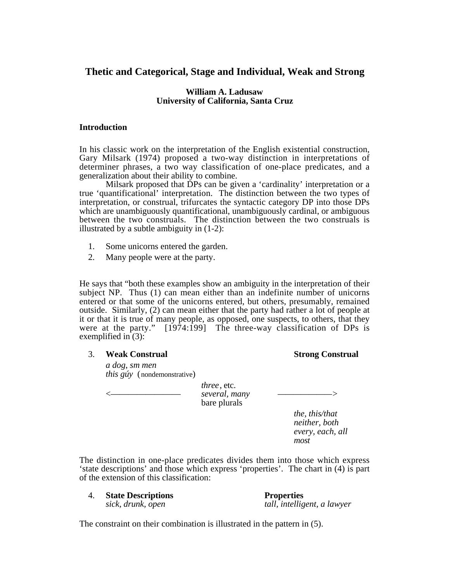# **Thetic and Categorical, Stage and Individual, Weak and Strong**

## **William A. Ladusaw University of California, Santa Cruz**

## **Introduction**

In his classic work on the interpretation of the English existential construction, Gary Milsark (1974) proposed a two-way distinction in interpretations of determiner phrases, a two way classification of one-place predicates, and a generalization about their ability to combine.

Milsark proposed that DPs can be given a 'cardinality' interpretation or a true 'quantificational' interpretation. The distinction between the two types of interpretation, or construal, trifurcates the syntactic category DP into those DPs which are unambiguously quantificational, unambiguously cardinal, or ambiguous between the two construals. The distinction between the two construals is illustrated by a subtle ambiguity in (1-2):

- 1. Some unicorns entered the garden.
- 2. Many people were at the party.

He says that "both these examples show an ambiguity in the interpretation of their subject NP. Thus (1) can mean either than an indefinite number of unicorns entered or that some of the unicorns entered, but others, presumably, remained outside. Similarly, (2) can mean either that the party had rather a lot of people at it or that it is true of many people, as opposed, one suspects, to others, that they were at the party." [1974:199] The three-way classification of DPs is exemplified in  $(3)$ :

## 3. **Weak Construal Strong Construal**

*a dog*, *sm men this gúy* (nondemonstrative)

> *three*, etc. <———————— *several, many ———————>* bare plurals

*the, this/that neither, both every, each, all most*

The distinction in one-place predicates divides them into those which express 'state descriptions' and those which express 'properties'. The chart in (4) is part of the extension of this classification:

| <b>State Descriptions</b> | <b>Properties</b>           |
|---------------------------|-----------------------------|
| sick, drunk, open         | tall, intelligent, a lawyer |

The constraint on their combination is illustrated in the pattern in (5).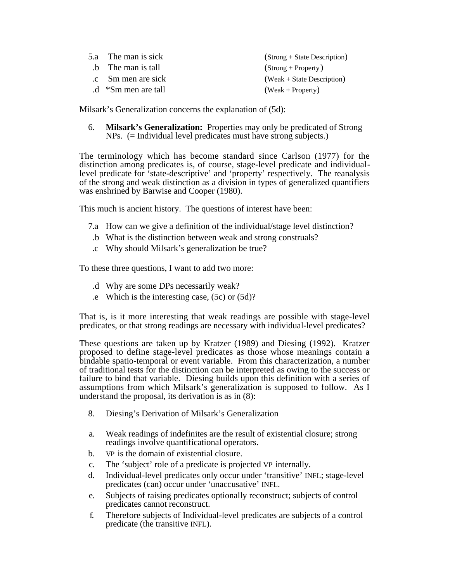| 5.a The man is sick  | (Strong + State Description) |
|----------------------|------------------------------|
| b The man is tall    | $\text{(Strong + Property)}$ |
| .c Sm men are sick   | $(Weak + State Description)$ |
| $d$ *Sm men are tall | $(Weak + Property)$          |
|                      |                              |

Milsark's Generalization concerns the explanation of (5d):

6. **Milsark's Generalization:** Properties may only be predicated of Strong NPs. (= Individual level predicates must have strong subjects.)

The terminology which has become standard since Carlson (1977) for the distinction among predicates is, of course, stage-level predicate and individuallevel predicate for 'state-descriptive' and 'property' respectively. The reanalysis of the strong and weak distinction as a division in types of generalized quantifiers was enshrined by Barwise and Cooper (1980).

This much is ancient history. The questions of interest have been:

- 7.a How can we give a definition of the individual/stage level distinction?
- .b What is the distinction between weak and strong construals?
- .c Why should Milsark's generalization be true?

To these three questions, I want to add two more:

- .d Why are some DPs necessarily weak?
- .e Which is the interesting case, (5c) or (5d)?

That is, is it more interesting that weak readings are possible with stage-level predicates, or that strong readings are necessary with individual-level predicates?

These questions are taken up by Kratzer (1989) and Diesing (1992). Kratzer proposed to define stage-level predicates as those whose meanings contain a bindable spatio-temporal or event variable. From this characterization, a number of traditional tests for the distinction can be interpreted as owing to the success or failure to bind that variable. Diesing builds upon this definition with a series of assumptions from which Milsark's generalization is supposed to follow. As I understand the proposal, its derivation is as in (8):

- 8. Diesing's Derivation of Milsark's Generalization
- a. Weak readings of indefinites are the result of existential closure; strong readings involve quantificational operators.
- b. VP is the domain of existential closure.
- c. The 'subject' role of a predicate is projected VP internally.
- d. Individual-level predicates only occur under 'transitive' INFL; stage-level predicates (can) occur under 'unaccusative' INFL.
- e. Subjects of raising predicates optionally reconstruct; subjects of control predicates cannot reconstruct.
- f. Therefore subjects of Individual-level predicates are subjects of a control predicate (the transitive INFL).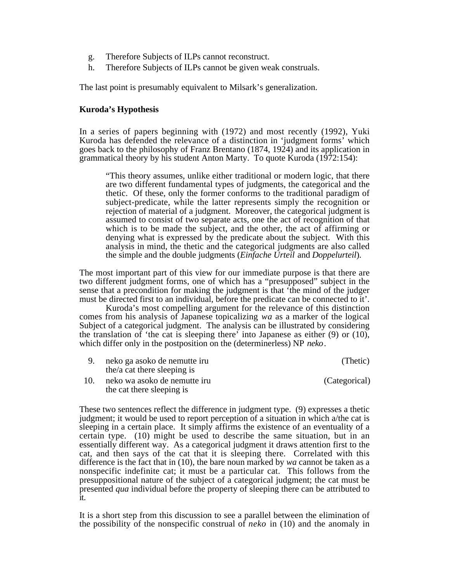- g. Therefore Subjects of ILPs cannot reconstruct.
- h. Therefore Subjects of ILPs cannot be given weak construals.

The last point is presumably equivalent to Milsark's generalization.

### **Kuroda's Hypothesis**

In a series of papers beginning with (1972) and most recently (1992), Yuki Kuroda has defended the relevance of a distinction in 'judgment forms' which goes back to the philosophy of Franz Brentano (1874, 1924) and its application in grammatical theory by his student Anton Marty. To quote Kuroda  $(1972:154)$ :

"This theory assumes, unlike either traditional or modern logic, that there are two different fundamental types of judgments, the categorical and the thetic. Of these, only the former conforms to the traditional paradigm of subject-predicate, while the latter represents simply the recognition or rejection of material of a judgment. Moreover, the categorical judgment is assumed to consist of two separate acts, one the act of recognition of that which is to be made the subject, and the other, the act of affirming or denying what is expressed by the predicate about the subject. With this analysis in mind, the thetic and the categorical judgments are also called the simple and the double judgments (*Einfache Urteil* and *Doppelurteil*).

The most important part of this view for our immediate purpose is that there are two different judgment forms, one of which has a "presupposed" subject in the sense that a precondition for making the judgment is that 'the mind of the judger must be directed first to an individual, before the predicate can be connected to it'.

Kuroda's most compelling argument for the relevance of this distinction comes from his analysis of Japanese topicalizing *wa* as a marker of the logical Subject of a categorical judgment. The analysis can be illustrated by considering the translation of 'the cat is sleeping there' into Japanese as either (9) or (10), which differ only in the postposition on the (determinerless) NP *neko*.

|     | neko ga asoko de nemutte iru | (Thetic)      |
|-----|------------------------------|---------------|
|     | the/a cat there sleeping is  |               |
| 10. | neko wa asoko de nemutte iru | (Categorical) |
|     | the cat there sleeping is    |               |

These two sentences reflect the difference in judgment type. (9) expresses a thetic judgment; it would be used to report perception of a situation in which a/the cat is sleeping in a certain place. It simply affirms the existence of an eventuality of a certain type. (10) might be used to describe the same situation, but in an essentially different way. As a categorical judgment it draws attention first to the cat, and then says of the cat that it is sleeping there. Correlated with this difference is the fact that in (10), the bare noun marked by *wa* cannot be taken as a nonspecific indefinite cat; it must be a particular cat. This follows from the presuppositional nature of the subject of a categorical judgment; the cat must be presented *qua* individual before the property of sleeping there can be attributed to it.

It is a short step from this discussion to see a parallel between the elimination of the possibility of the nonspecific construal of *neko* in (10) and the anomaly in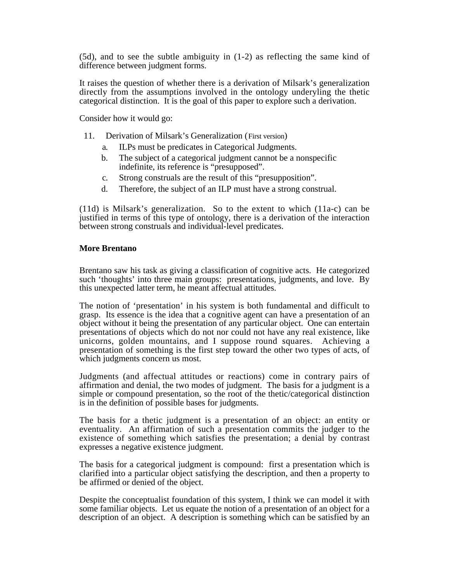(5d), and to see the subtle ambiguity in (1-2) as reflecting the same kind of difference between judgment forms.

It raises the question of whether there is a derivation of Milsark's generalization directly from the assumptions involved in the ontology underyling the thetic categorical distinction. It is the goal of this paper to explore such a derivation.

Consider how it would go:

- 11. Derivation of Milsark's Generalization (First version)
	- a. ILPs must be predicates in Categorical Judgments.
	- b. The subject of a categorical judgment cannot be a nonspecific indefinite, its reference is "presupposed".
	- c. Strong construals are the result of this "presupposition".
	- d. Therefore, the subject of an ILP must have a strong construal.

(11d) is Milsark's generalization. So to the extent to which (11a-c) can be justified in terms of this type of ontology, there is a derivation of the interaction between strong construals and individual-level predicates.

### **More Brentano**

Brentano saw his task as giving a classification of cognitive acts. He categorized such 'thoughts' into three main groups: presentations, judgments, and love. By this unexpected latter term, he meant affectual attitudes.

The notion of 'presentation' in his system is both fundamental and difficult to grasp. Its essence is the idea that a cognitive agent can have a presentation of an object without it being the presentation of any particular object. One can entertain presentations of objects which do not nor could not have any real existence, like unicorns, golden mountains, and I suppose round squares. Achieving a presentation of something is the first step toward the other two types of acts, of which judgments concern us most.

Judgments (and affectual attitudes or reactions) come in contrary pairs of affirmation and denial, the two modes of judgment. The basis for a judgment is a simple or compound presentation, so the root of the thetic/categorical distinction is in the definition of possible bases for judgments.

The basis for a thetic judgment is a presentation of an object: an entity or eventuality. An affirmation of such a presentation commits the judger to the existence of something which satisfies the presentation; a denial by contrast expresses a negative existence judgment.

The basis for a categorical judgment is compound: first a presentation which is clarified into a particular object satisfying the description, and then a property to be affirmed or denied of the object.

Despite the conceptualist foundation of this system, I think we can model it with some familiar objects. Let us equate the notion of a presentation of an object for a description of an object. A description is something which can be satisfied by an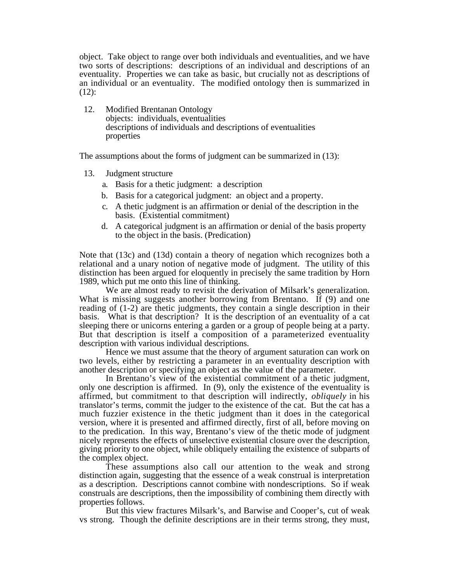object. Take object to range over both individuals and eventualities, and we have two sorts of descriptions: descriptions of an individual and descriptions of an eventuality. Properties we can take as basic, but crucially not as descriptions of an individual or an eventuality. The modified ontology then is summarized in  $(12)$ :

12. Modified Brentanan Ontology objects: individuals, eventualities descriptions of individuals and descriptions of eventualities properties

The assumptions about the forms of judgment can be summarized in (13):

- 13. Judgment structure
	- a. Basis for a thetic judgment: a description
	- b. Basis for a categorical judgment: an object and a property.
	- c. A thetic judgment is an affirmation or denial of the description in the basis. (Existential commitment)
	- d. A categorical judgment is an affirmation or denial of the basis property to the object in the basis. (Predication)

Note that (13c) and (13d) contain a theory of negation which recognizes both a relational and a unary notion of negative mode of judgment. The utility of this distinction has been argued for eloquently in precisely the same tradition by Horn 1989, which put me onto this line of thinking.

We are almost ready to revisit the derivation of Milsark's generalization. What is missing suggests another borrowing from Brentano. If (9) and one reading of (1-2) are thetic judgments, they contain a single description in their basis. What is that description? It is the description of an eventuality of a cat sleeping there or unicorns entering a garden or a group of people being at a party. But that description is itself a composition of a parameterized eventuality description with various individual descriptions.

Hence we must assume that the theory of argument saturation can work on two levels, either by restricting a parameter in an eventuality description with another description or specifying an object as the value of the parameter.

In Brentano's view of the existential commitment of a thetic judgment, only one description is affirmed. In (9), only the existence of the eventuality is affirmed, but commitment to that description will indirectly, *obliquely* in his translator's terms, commit the judger to the existence of the cat. But the cat has a much fuzzier existence in the thetic judgment than it does in the categorical version, where it is presented and affirmed directly, first of all, before moving on to the predication. In this way, Brentano's view of the thetic mode of judgment nicely represents the effects of unselective existential closure over the description, giving priority to one object, while obliquely entailing the existence of subparts of the complex object.

These assumptions also call our attention to the weak and strong distinction again, suggesting that the essence of a weak construal is interpretation as a description. Descriptions cannot combine with nondescriptions. So if weak construals are descriptions, then the impossibility of combining them directly with properties follows.

But this view fractures Milsark's, and Barwise and Cooper's, cut of weak vs strong. Though the definite descriptions are in their terms strong, they must,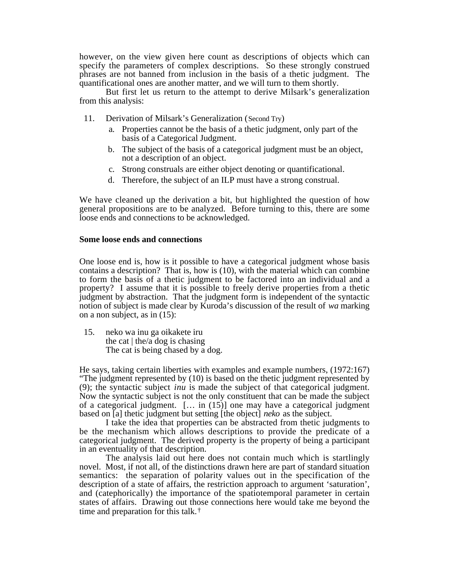however, on the view given here count as descriptions of objects which can specify the parameters of complex descriptions. So these strongly construed phrases are not banned from inclusion in the basis of a thetic judgment. The quantificational ones are another matter, and we will turn to them shortly.

But first let us return to the attempt to derive Milsark's generalization from this analysis:

- 11. Derivation of Milsark's Generalization (Second Try)
	- a. Properties cannot be the basis of a thetic judgment, only part of the basis of a Categorical Judgment.
	- b. The subject of the basis of a categorical judgment must be an object, not a description of an object.
	- c. Strong construals are either object denoting or quantificational.
	- d. Therefore, the subject of an ILP must have a strong construal.

We have cleaned up the derivation a bit, but highlighted the question of how general propositions are to be analyzed. Before turning to this, there are some loose ends and connections to be acknowledged.

### **Some loose ends and connections**

One loose end is, how is it possible to have a categorical judgment whose basis contains a description? That is, how is (10), with the material which can combine to form the basis of a thetic judgment to be factored into an individual and a property? I assume that it is possible to freely derive properties from a thetic judgment by abstraction. That the judgment form is independent of the syntactic notion of subject is made clear by Kuroda's discussion of the result of *wa* marking on a non subject, as in (15):

15. neko wa inu ga oikakete iru the cat  $\vert$  the/a dog is chasing The cat is being chased by a dog.

He says, taking certain liberties with examples and example numbers, (1972:167) "The judgment represented by (10) is based on the thetic judgment represented by (9); the syntactic subject *inu* is made the subject of that categorical judgment. Now the syntactic subject is not the only constituent that can be made the subject of a categorical judgment.  $[\dots]$  in (15)] one may have a categorical judgment based on [a] thetic judgment but setting [the object] *neko* as the subject.

I take the idea that properties can be abstracted from thetic judgments to be the mechanism which allows descriptions to provide the predicate of a categorical judgment. The derived property is the property of being a participant in an eventuality of that description.

The analysis laid out here does not contain much which is startlingly novel. Most, if not all, of the distinctions drawn here are part of standard situation semantics: the separation of polarity values out in the specification of the description of a state of affairs, the restriction approach to argument 'saturation', and (catephorically) the importance of the spatiotemporal parameter in certain states of affairs. Drawing out those connections here would take me beyond the time and preparation for this talk.†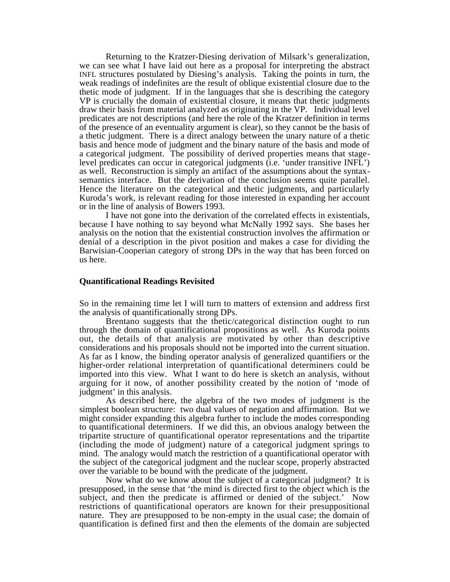Returning to the Kratzer-Diesing derivation of Milsark's generalization, we can see what I have laid out here as a proposal for interpreting the abstract INFL structures postulated by Diesing's analysis. Taking the points in turn, the weak readings of indefinites are the result of oblique existential closure due to the thetic mode of judgment. If in the languages that she is describing the category VP is crucially the domain of existential closure, it means that thetic judgments draw their basis from material analyzed as originating in the VP. Individual level predicates are not descriptions (and here the role of the Kratzer definition in terms of the presence of an eventuality argument is clear), so they cannot be the basis of a thetic judgment. There is a direct analogy between the unary nature of a thetic basis and hence mode of judgment and the binary nature of the basis and mode of a categorical judgment. The possibility of derived properties means that stagelevel predicates can occur in categorical judgments (i.e. 'under transitive INFL') as well. Reconstruction is simply an artifact of the assumptions about the syntaxsemantics interface. But the derivation of the conclusion seems quite parallel. Hence the literature on the categorical and thetic judgments, and particularly Kuroda's work, is relevant reading for those interested in expanding her account or in the line of analysis of Bowers 1993.

I have not gone into the derivation of the correlated effects in existentials, because I have nothing to say beyond what McNally 1992 says. She bases her analysis on the notion that the existential construction involves the affirmation or denial of a description in the pivot position and makes a case for dividing the Barwisian-Cooperian category of strong DPs in the way that has been forced on us here.

#### **Quantificational Readings Revisited**

So in the remaining time let I will turn to matters of extension and address first the analysis of quantificationally strong DPs.

Brentano suggests that the thetic/categorical distinction ought to run through the domain of quantificational propositions as well. As Kuroda points out, the details of that analysis are motivated by other than descriptive considerations and his proposals should not be imported into the current situation. As far as I know, the binding operator analysis of generalized quantifiers or the higher-order relational interpretation of quantificational determiners could be imported into this view. What I want to do here is sketch an analysis, without arguing for it now, of another possibility created by the notion of 'mode of judgment' in this analysis.

As described here, the algebra of the two modes of judgment is the simplest boolean structure: two dual values of negation and affirmation. But we might consider expanding this algebra further to include the modes corresponding to quantificational determiners. If we did this, an obvious analogy between the tripartite structure of quantificational operator representations and the tripartite (including the mode of judgment) nature of a categorical judgment springs to mind. The analogy would match the restriction of a quantificational operator with the subject of the categorical judgment and the nuclear scope, properly abstracted over the variable to be bound with the predicate of the judgment.

Now what do we know about the subject of a categorical judgment? It is presupposed, in the sense that 'the mind is directed first to the object which is the subject, and then the predicate is affirmed or denied of the subject.' Now restrictions of quantificational operators are known for their presuppositional nature. They are presupposed to be non-empty in the usual case; the domain of quantification is defined first and then the elements of the domain are subjected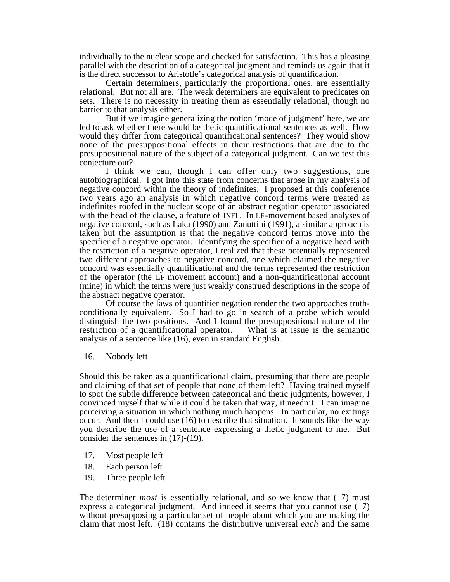individually to the nuclear scope and checked for satisfaction. This has a pleasing parallel with the description of a categorical judgment and reminds us again that it is the direct successor to Aristotle's categorical analysis of quantification.

Certain determiners, particularly the proportional ones, are essentially relational. But not all are. The weak determiners are equivalent to predicates on sets. There is no necessity in treating them as essentially relational, though no barrier to that analysis either.

But if we imagine generalizing the notion 'mode of judgment' here, we are led to ask whether there would be thetic quantificational sentences as well. How would they differ from categorical quantificational sentences? They would show none of the presuppositional effects in their restrictions that are due to the presuppositional nature of the subject of a categorical judgment. Can we test this conjecture out?

I think we can, though I can offer only two suggestions, one autobiographical. I got into this state from concerns that arose in my analysis of negative concord within the theory of indefinites. I proposed at this conference two years ago an analysis in which negative concord terms were treated as indefinites roofed in the nuclear scope of an abstract negation operator associated with the head of the clause, a feature of INFL. In LF-movement based analyses of negative concord, such as Laka (1990) and Zanuttini (1991), a similar approach is taken but the assumption is that the negative concord terms move into the specifier of a negative operator. Identifying the specifier of a negative head with the restriction of a negative operator, I realized that these potentially represented two different approaches to negative concord, one which claimed the negative concord was essentially quantificational and the terms represented the restriction of the operator (the LF movement account) and a non-quantificational account (mine) in which the terms were just weakly construed descriptions in the scope of the abstract negative operator.

Of course the laws of quantifier negation render the two approaches truthconditionally equivalent. So I had to go in search of a probe which would distinguish the two positions. And I found the presuppositional nature of the restriction of a quantificational operator. What is at issue is the semantic analysis of a sentence like (16), even in standard English.

16. Nobody left

Should this be taken as a quantificational claim, presuming that there are people and claiming of that set of people that none of them left? Having trained myself to spot the subtle difference between categorical and thetic judgments, however, I convinced myself that while it could be taken that way, it needn't. I can imagine perceiving a situation in which nothing much happens. In particular, no exitings occur. And then I could use (16) to describe that situation. It sounds like the way you describe the use of a sentence expressing a thetic judgment to me. But consider the sentences in (17)-(19).

- 17. Most people left
- 18. Each person left
- 19. Three people left

The determiner *most* is essentially relational, and so we know that (17) must express a categorical judgment. And indeed it seems that you cannot use (17) without presupposing a particular set of people about which you are making the claim that most left. (18) contains the distributive universal *each* and the same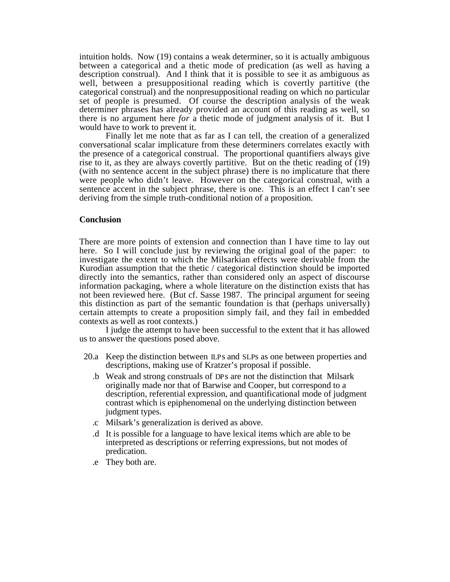intuition holds. Now (19) contains a weak determiner, so it is actually ambiguous between a categorical and a thetic mode of predication (as well as having a description construal). And I think that it is possible to see it as ambiguous as well, between a presuppositional reading which is covertly partitive (the categorical construal) and the nonpresuppositional reading on which no particular set of people is presumed. Of course the description analysis of the weak determiner phrases has already provided an account of this reading as well, so there is no argument here *for* a thetic mode of judgment analysis of it. But I would have to work to prevent it.

Finally let me note that as far as I can tell, the creation of a generalized conversational scalar implicature from these determiners correlates exactly with the presence of a categorical construal. The proportional quantifiers always give rise to it, as they are always covertly partitive. But on the thetic reading of  $(19)$ (with no sentence accent in the subject phrase) there is no implicature that there were people who didn't leave. However on the categorical construal, with a sentence accent in the subject phrase, there is one. This is an effect I can't see deriving from the simple truth-conditional notion of a proposition.

## **Conclusion**

There are more points of extension and connection than I have time to lay out here. So I will conclude just by reviewing the original goal of the paper: to investigate the extent to which the Milsarkian effects were derivable from the Kurodian assumption that the thetic / categorical distinction should be imported directly into the semantics, rather than considered only an aspect of discourse information packaging, where a whole literature on the distinction exists that has not been reviewed here. (But cf. Sasse 1987. The principal argument for seeing this distinction as part of the semantic foundation is that (perhaps universally) certain attempts to create a proposition simply fail, and they fail in embedded contexts as well as root contexts.)

I judge the attempt to have been successful to the extent that it has allowed us to answer the questions posed above.

- 20.a Keep the distinction between ILPs and SLPs as one between properties and descriptions, making use of Kratzer's proposal if possible.
	- .b Weak and strong construals of DPs are not the distinction that Milsark originally made nor that of Barwise and Cooper, but correspond to a description, referential expression, and quantificational mode of judgment contrast which is epiphenomenal on the underlying distinction between judgment types.
	- .c Milsark's generalization is derived as above.
	- .d It is possible for a language to have lexical items which are able to be interpreted as descriptions or referring expressions, but not modes of predication.
	- .e They both are.